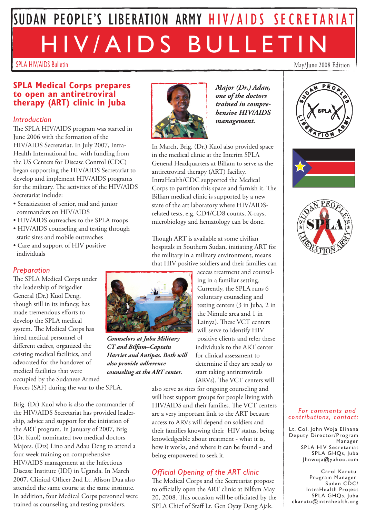# SUDAN PEOPLE'S LIBERATION ARMY HIV/AIDS SECRETARIAT HIV/AIDS BULLETIN

SPLA HIV/AIDS Bulletin May/June 2008 Edition

### **SPLA Medical Corps prepares to open an antiretroviral therapy (ART) clinic in Juba**

#### *Introduction*

The SPLA HIV/AIDS program was started in June 2006 with the formation of the HIV/AIDS Secretariat. In July 2007, Intra-Health International Inc. with funding from the US Centers for Disease Control (CDC) began supporting the HIV/AIDS Secretariat to develop and implement HIV/AIDS programs for the military. The activities of the HIV/AIDS Secretariat include:

- Sensitization of senior, mid and junior commanders on HIV/AIDS
- HIV/AIDS outreaches to the SPLA troops
- HIV/AIDS counseling and testing through static sites and mobile outreaches
- Care and support of HIV positive individuals

#### *Preparation*

The SPLA Medical Corps under the leadership of Brigadier General (Dr.) Kuol Deng, though still in its infancy, has made tremendous efforts to develop the SPLA medical system. The Medical Corps has hired medical personnel of different cadres, organized the existing medical facilities, and advocated for the handover of medical facilities that were occupied by the Sudanese Armed

Forces (SAF) during the war to the SPLA.

Brig. (Dr) Kuol who is also the commander of the HIV/AIDS Secretariat has provided leadership, advice and support for the initiation of the ART program. In January of 2007, Brig (Dr. Kuol) nominated two medical doctors Majors. (Drs) Lino and Adau Deng to attend a four week training on comprehensive HIV/AIDS management at the Infectious Disease Institute (IDI) in Uganda. In March 2007, Clinical Officer 2nd Lt. Alison Dua also attended the same course at the same institute. In addition, four Medical Corps personnel were trained as counseling and testing providers.



*Major (Dr.) Adau, one of the doctors trained in comprehensive HIV/AIDS management.*

In March, Brig. (Dr.) Kuol also provided space in the medical clinic at the Interim SPLA General Headquarters at Bilfam to serve as the antiretroviral therapy (ART) facility. IntraHealth/CDC supported the Medical Corps to partition this space and furnish it. The Bilfam medical clinic is supported by a new state of the art laboratory where HIV/AIDSrelated tests, e.g. CD4/CD8 counts, X-rays, microbiology and hematology can be done.

Though ART is available at some civilian hospitals in Southern Sudan, initiating ART for the military in a military environment, means that HIV positive soldiers and their families can



*Counselors at Juba Military CT and Bilfam–Captain Harriet and Antipas. Both will also provide adherence counseling at the ART center.* 

access treatment and counseling in a familiar setting. Currently, the SPLA runs 6 voluntary counseling and testing centers (3 in Juba, 2 in the Nimule area and 1 in Lainya). These VCT centers will serve to identify HIV positive clients and refer these individuals to the ART center for clinical assessment to determine if they are ready to start taking antiretrovirals (ARVs). The VCT centers will

also serve as sites for ongoing counseling and will host support groups for people living with HIV/AIDS and their families. The VCT centers are a very important link to the ART because access to ARVs will depend on soldiers and their families knowing their HIV status, being knowledgeable about treatment - what it is, how it works, and where it can be found - and being empowered to seek it.

## *Official Opening of the ART clinic*

The Medical Corps and the Secretariat propose to officially open the ART clinic at Bilfam May 20, 2008. This occasion will be officiated by the SPLA Chief of Staff Lt. Gen Oyay Deng Ajak.







#### *For comments and contributions, contact:*

Lt. Col. John Woja Elinana Deputy Director/Program Manager SPLA HIV Secretariat SPLA GHQs, Juba Jhnwoja@yahoo.com

Carol Karutu Program Manager Sudan CDC/ IntraHealth Project SPLA GHQs, Juba ckarutu@intrahealth.org